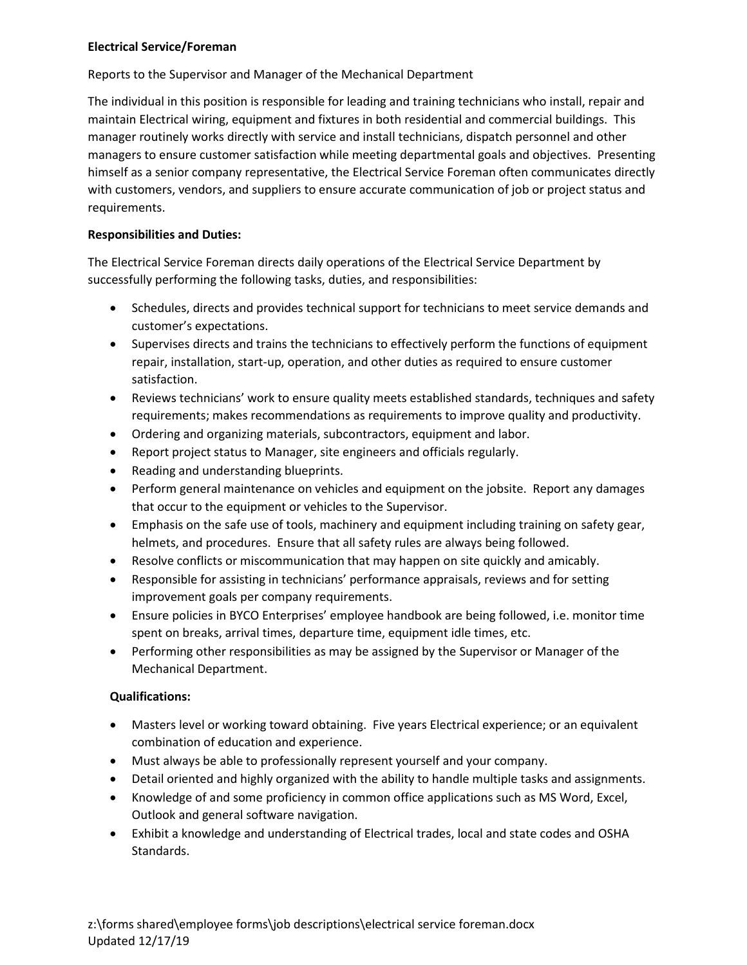## **Electrical Service/Foreman**

Reports to the Supervisor and Manager of the Mechanical Department

The individual in this position is responsible for leading and training technicians who install, repair and maintain Electrical wiring, equipment and fixtures in both residential and commercial buildings. This manager routinely works directly with service and install technicians, dispatch personnel and other managers to ensure customer satisfaction while meeting departmental goals and objectives. Presenting himself as a senior company representative, the Electrical Service Foreman often communicates directly with customers, vendors, and suppliers to ensure accurate communication of job or project status and requirements.

## **Responsibilities and Duties:**

The Electrical Service Foreman directs daily operations of the Electrical Service Department by successfully performing the following tasks, duties, and responsibilities:

- Schedules, directs and provides technical support for technicians to meet service demands and customer's expectations.
- Supervises directs and trains the technicians to effectively perform the functions of equipment repair, installation, start-up, operation, and other duties as required to ensure customer satisfaction.
- Reviews technicians' work to ensure quality meets established standards, techniques and safety requirements; makes recommendations as requirements to improve quality and productivity.
- Ordering and organizing materials, subcontractors, equipment and labor.
- Report project status to Manager, site engineers and officials regularly.
- Reading and understanding blueprints.
- Perform general maintenance on vehicles and equipment on the jobsite. Report any damages that occur to the equipment or vehicles to the Supervisor.
- Emphasis on the safe use of tools, machinery and equipment including training on safety gear, helmets, and procedures. Ensure that all safety rules are always being followed.
- Resolve conflicts or miscommunication that may happen on site quickly and amicably.
- Responsible for assisting in technicians' performance appraisals, reviews and for setting improvement goals per company requirements.
- Ensure policies in BYCO Enterprises' employee handbook are being followed, i.e. monitor time spent on breaks, arrival times, departure time, equipment idle times, etc.
- Performing other responsibilities as may be assigned by the Supervisor or Manager of the Mechanical Department.

## **Qualifications:**

- Masters level or working toward obtaining. Five years Electrical experience; or an equivalent combination of education and experience.
- Must always be able to professionally represent yourself and your company.
- Detail oriented and highly organized with the ability to handle multiple tasks and assignments.
- Knowledge of and some proficiency in common office applications such as MS Word, Excel, Outlook and general software navigation.
- Exhibit a knowledge and understanding of Electrical trades, local and state codes and OSHA Standards.